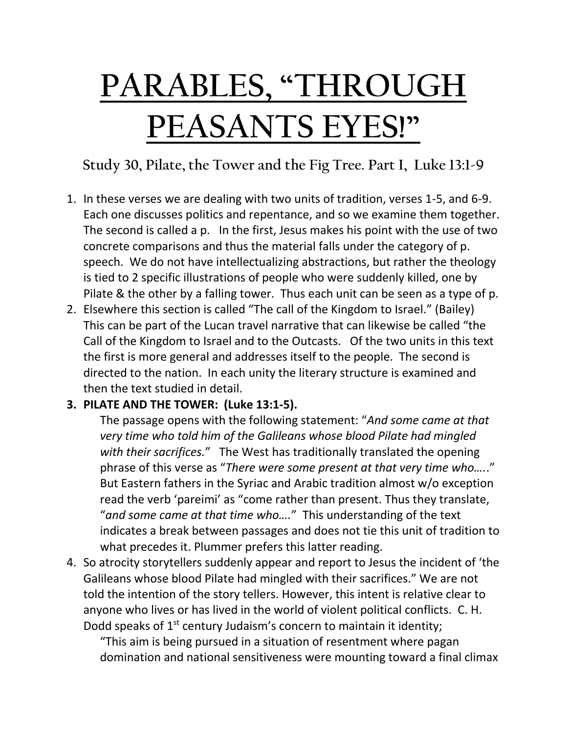## **PARABLES, "THROUGH PEASANTS EYES!"**

**Study 30, Pilate, the Tower and the Fig Tree. Part I, Luke 13:1-9**

- 1. In these verses we are dealing with two units of tradition, verses 1-5, and 6-9. Each one discusses politics and repentance, and so we examine them together. The second is called a p. In the first, Jesus makes his point with the use of two concrete comparisons and thus the material falls under the category of p. speech. We do not have intellectualizing abstractions, but rather the theology is tied to 2 specific illustrations of people who were suddenly killed, one by Pilate & the other by a falling tower. Thus each unit can be seen as a type of p.
- 2. Elsewhere this section is called "The call of the Kingdom to Israel." (Bailey) This can be part of the Lucan travel narrative that can likewise be called "the Call of the Kingdom to Israel and to the Outcasts. Of the two units in this text the first is more general and addresses itself to the people. The second is directed to the nation. In each unity the literary structure is examined and then the text studied in detail.

## **3. PILATE AND THE TOWER: (Luke 13:1-5).**

The passage opens with the following statement: "*And some came at that very time who told him of the Galileans whose blood Pilate had mingled with their sacrifices.*" The West has traditionally translated the opening phrase of this verse as "*There were some present at that very time who….*." But Eastern fathers in the Syriac and Arabic tradition almost w/o exception read the verb 'pareimi' as "come rather than present. Thus they translate, "*and some came at that time who….*" This understanding of the text indicates a break between passages and does not tie this unit of tradition to what precedes it. Plummer prefers this latter reading.

4. So atrocity storytellers suddenly appear and report to Jesus the incident of 'the Galileans whose blood Pilate had mingled with their sacrifices." We are not told the intention of the story tellers. However, this intent is relative clear to anyone who lives or has lived in the world of violent political conflicts. C. H. Dodd speaks of  $1<sup>st</sup>$  century Judaism's concern to maintain it identity;

"This aim is being pursued in a situation of resentment where pagan domination and national sensitiveness were mounting toward a final climax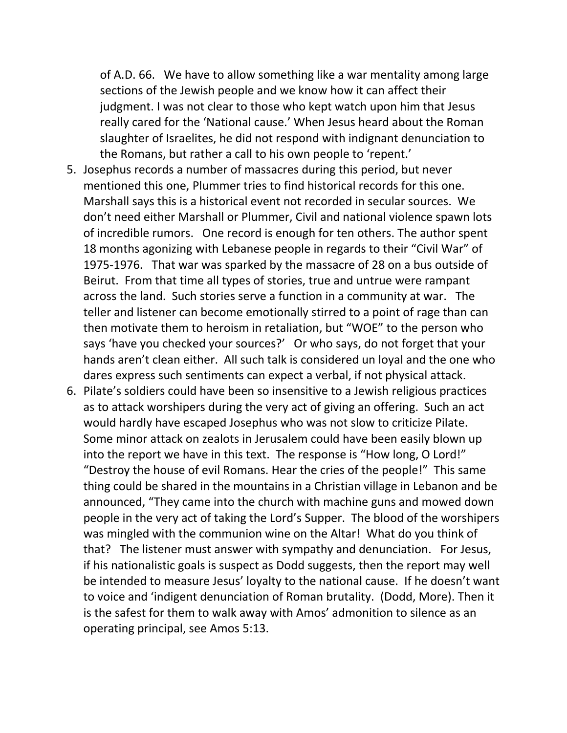of A.D. 66. We have to allow something like a war mentality among large sections of the Jewish people and we know how it can affect their judgment. I was not clear to those who kept watch upon him that Jesus really cared for the 'National cause.' When Jesus heard about the Roman slaughter of Israelites, he did not respond with indignant denunciation to the Romans, but rather a call to his own people to 'repent.'

- 5. Josephus records a number of massacres during this period, but never mentioned this one, Plummer tries to find historical records for this one. Marshall says this is a historical event not recorded in secular sources. We don't need either Marshall or Plummer, Civil and national violence spawn lots of incredible rumors. One record is enough for ten others. The author spent 18 months agonizing with Lebanese people in regards to their "Civil War" of 1975-1976. That war was sparked by the massacre of 28 on a bus outside of Beirut. From that time all types of stories, true and untrue were rampant across the land. Such stories serve a function in a community at war. The teller and listener can become emotionally stirred to a point of rage than can then motivate them to heroism in retaliation, but "WOE" to the person who says 'have you checked your sources?' Or who says, do not forget that your hands aren't clean either. All such talk is considered un loyal and the one who dares express such sentiments can expect a verbal, if not physical attack.
- 6. Pilate's soldiers could have been so insensitive to a Jewish religious practices as to attack worshipers during the very act of giving an offering. Such an act would hardly have escaped Josephus who was not slow to criticize Pilate. Some minor attack on zealots in Jerusalem could have been easily blown up into the report we have in this text. The response is "How long, O Lord!" "Destroy the house of evil Romans. Hear the cries of the people!" This same thing could be shared in the mountains in a Christian village in Lebanon and be announced, "They came into the church with machine guns and mowed down people in the very act of taking the Lord's Supper. The blood of the worshipers was mingled with the communion wine on the Altar! What do you think of that? The listener must answer with sympathy and denunciation. For Jesus, if his nationalistic goals is suspect as Dodd suggests, then the report may well be intended to measure Jesus' loyalty to the national cause. If he doesn't want to voice and 'indigent denunciation of Roman brutality. (Dodd, More). Then it is the safest for them to walk away with Amos' admonition to silence as an operating principal, see Amos 5:13.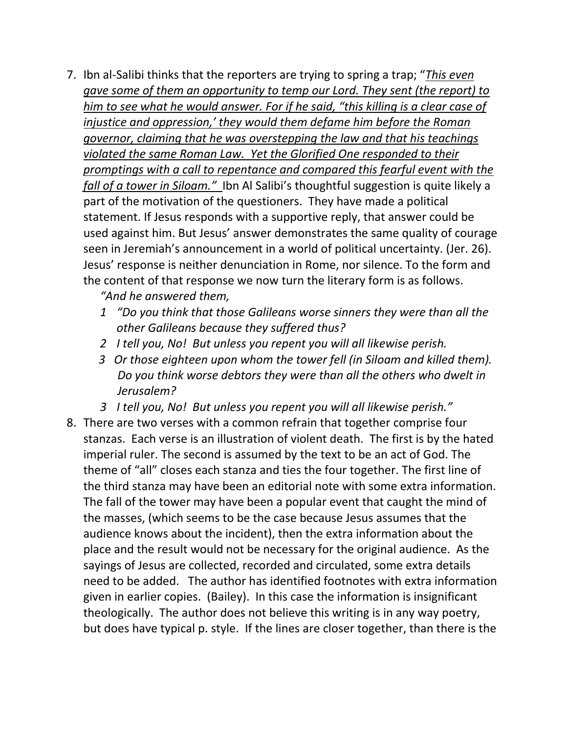7. Ibn al-Salibi thinks that the reporters are trying to spring a trap; "*This even gave some of them an opportunity to temp our Lord. They sent (the report) to him to see what he would answer. For if he said, "this killing is a clear case of injustice and oppression,' they would them defame him before the Roman governor, claiming that he was overstepping the law and that his teachings violated the same Roman Law. Yet the Glorified One responded to their promptings with a call to repentance and compared this fearful event with the fall of a tower in Siloam."* Ibn Al Salibi's thoughtful suggestion is quite likely a part of the motivation of the questioners. They have made a political statement. If Jesus responds with a supportive reply, that answer could be used against him. But Jesus' answer demonstrates the same quality of courage seen in Jeremiah's announcement in a world of political uncertainty. (Jer. 26). Jesus' response is neither denunciation in Rome, nor silence. To the form and the content of that response we now turn the literary form is as follows.

*"And he answered them,* 

- *1 "Do you think that those Galileans worse sinners they were than all the other Galileans because they suffered thus?*
- *2 I tell you, No! But unless you repent you will all likewise perish.*
- *3 Or those eighteen upon whom the tower fell (in Siloam and killed them). Do you think worse debtors they were than all the others who dwelt in Jerusalem?*
- *3 I tell you, No! But unless you repent you will all likewise perish."*
- 8. There are two verses with a common refrain that together comprise four stanzas. Each verse is an illustration of violent death. The first is by the hated imperial ruler. The second is assumed by the text to be an act of God. The theme of "all" closes each stanza and ties the four together. The first line of the third stanza may have been an editorial note with some extra information. The fall of the tower may have been a popular event that caught the mind of the masses, (which seems to be the case because Jesus assumes that the audience knows about the incident), then the extra information about the place and the result would not be necessary for the original audience. As the sayings of Jesus are collected, recorded and circulated, some extra details need to be added. The author has identified footnotes with extra information given in earlier copies. (Bailey). In this case the information is insignificant theologically. The author does not believe this writing is in any way poetry, but does have typical p. style. If the lines are closer together, than there is the